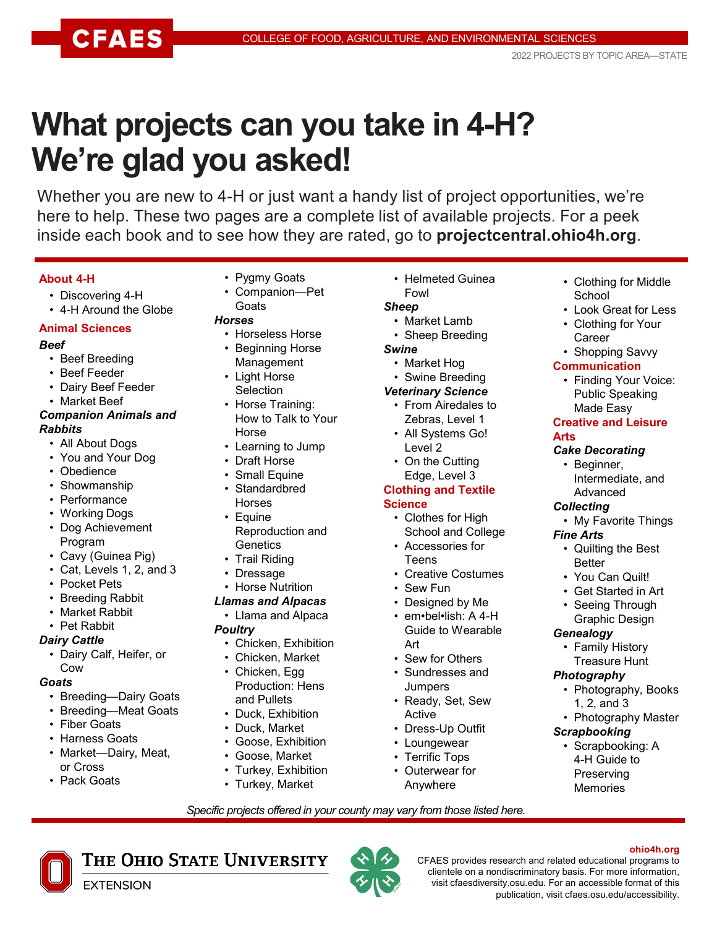# **What projects can you take in 4-H? We're glad you asked!**

Whether you are new to 4-H or just want a handy list of project opportunities, we're here to help. These two pages are a complete list of available projects. For a peek inside each book and to see how they are rated, go to **projectcentral.ohio4h.org**.

### **About 4-H**

- Discovering 4-H
- 4-H Around the Globe

#### **Animal Sciences**

#### *Beef*

- Beef Breeding
- Beef Feeder
- Dairy Beef Feeder
- Market Beef

#### *Companion Animals and Rabbits*

- All About Dogs
- You and Your Dog
- Obedience
- Showmanship
- Performance
- Working Dogs
- Dog Achievement Program
- Cavy (Guinea Pig)
- Cat, Levels 1, 2, and 3
- Pocket Pets
- Breeding Rabbit
- Market Rabbit
- Pet Rabbit

### *Dairy Cattle*

• Dairy Calf, Heifer, or Cow

### *Goats*

- Breeding—Dairy Goats
- Breeding—Meat Goats
- Fiber Goats
- Harness Goats
- Market—Dairy, Meat, or Cross

**EXTENSION** 

• Pack Goats

- Pygmy Goats
- Companion—Pet **Goats**

#### *Horses*

- Horseless Horse
- Beginning Horse Management
- Light Horse **Selection**
- Horse Training:
- How to Talk to Your Horse
- Learning to Jump
- Draft Horse
- Small Equine
- Standardbred Horses
- Equine
- Reproduction and **Genetics** • Trail Riding
- **Dressage**
- Horse Nutrition

## *Llamas and Alpacas*

- Llama and Alpaca
- *Poultry*
	- Chicken, Exhibition
	- Chicken, Market
	- Chicken, Egg Production: Hens and Pullets
	- Duck, Exhibition
	- Duck, Market
	- Goose, Exhibition
	- Goose, Market
	- Turkey, Exhibition
	- Turkey, Market

THE OHIO STATE UNIVERSITY

• Helmeted Guinea Fowl

## *Sheep*

- Market Lamb
- Sheep Breeding
- *Swine*
	- Market Hog
	- Swine Breeding

### *Veterinary Science*

- From Airedales to Zebras, Level 1
- All Systems Go! Level 2
- On the Cutting Edge, Level 3

#### **Clothing and Textile Science**

- Clothes for High School and College
- Accessories for Teens
- Creative Costumes
- Sew Fun
- Designed by Me
- em•bel•lish: A 4-H Guide to Wearable Art
- Sew for Others
- Sundresses and Jumpers
- Ready, Set, Sew Active
- Dress-Up Outfit
- Loungewear
- Terrific Tops
- Outerwear for Anywhere

*Specific projects offered in your county may vary from those listed here.*

- Clothing for Middle **School**
- Look Great for Less
- Clothing for Your **Career**
- Shopping Savvy

## **Communication**

• Finding Your Voice: Public Speaking Made Easy

#### **Creative and Leisure Arts**

## *Cake Decorating*

• Beginner, Intermediate, and Advanced

• Quilting the Best

#### *Collecting* • My Favorite Things

*Fine Arts*

Better • You Can Quilt! • Get Started in Art Seeing Through Graphic Design

*Genealogy*

*Photography*

*Scrapbooking*

publication, visit cfaes.osu.edu/accessibility.

CFAES provides research and related educational programs to clientele on a nondiscriminatory basis. For more information, visit cfaesdiversity.osu.edu. For an accessible format of this

• Family History Treasure Hunt

1, 2, and 3

• Photography, Books

• Photography Master

**ohio4h.org**

• Scrapbooking: A 4-H Guide to Preserving Memories